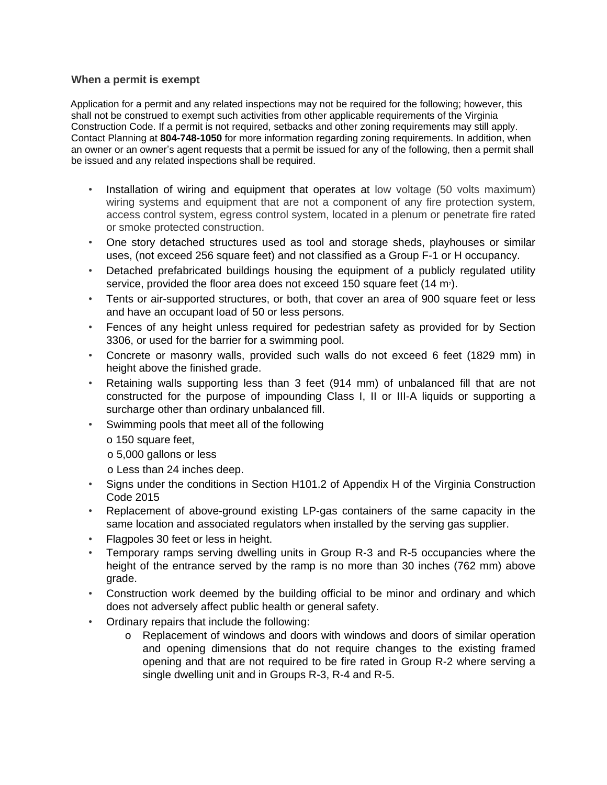## **When a permit is exempt**

Application for a permit and any related inspections may not be required for the following; however, this shall not be construed to exempt such activities from other applicable requirements of the Virginia Construction Code. If a permit is not required, setbacks and other zoning requirements may still apply. Contact Planning at **804-748-1050** for more information regarding zoning requirements. In addition, when an owner or an owner's agent requests that a permit be issued for any of the following, then a permit shall be issued and any related inspections shall be required.

- Installation of wiring and equipment that operates at low voltage (50 volts maximum) wiring systems and equipment that are not a component of any fire protection system, access control system, egress control system, located in a plenum or penetrate fire rated or smoke protected construction.
- One story detached structures used as tool and storage sheds, playhouses or similar uses, (not exceed 256 square feet) and not classified as a Group F-1 or H occupancy.
- Detached prefabricated buildings housing the equipment of a publicly regulated utility service, provided the floor area does not exceed 150 square feet  $(14 \text{ m}^2)$ .
- Tents or air-supported structures, or both, that cover an area of 900 square feet or less and have an occupant load of 50 or less persons.
- Fences of any height unless required for pedestrian safety as provided for by Section 3306, or used for the barrier for a swimming pool.
- Concrete or masonry walls, provided such walls do not exceed 6 feet (1829 mm) in height above the finished grade.
- Retaining walls supporting less than 3 feet (914 mm) of unbalanced fill that are not constructed for the purpose of impounding Class I, II or III-A liquids or supporting a surcharge other than ordinary unbalanced fill.
- Swimming pools that meet all of the following
	- o 150 square feet,
	- o 5,000 gallons or less
	- o Less than 24 inches deep.
- Signs under the conditions in Section H101.2 of Appendix H of the Virginia Construction Code 2015
- Replacement of above-ground existing LP-gas containers of the same capacity in the same location and associated regulators when installed by the serving gas supplier.
- Flagpoles 30 feet or less in height.
- Temporary ramps serving dwelling units in Group R-3 and R-5 occupancies where the height of the entrance served by the ramp is no more than 30 inches (762 mm) above grade.
- Construction work deemed by the building official to be minor and ordinary and which does not adversely affect public health or general safety.
- Ordinary repairs that include the following:
	- o Replacement of windows and doors with windows and doors of similar operation and opening dimensions that do not require changes to the existing framed opening and that are not required to be fire rated in Group R-2 where serving a single dwelling unit and in Groups R-3, R-4 and R-5.